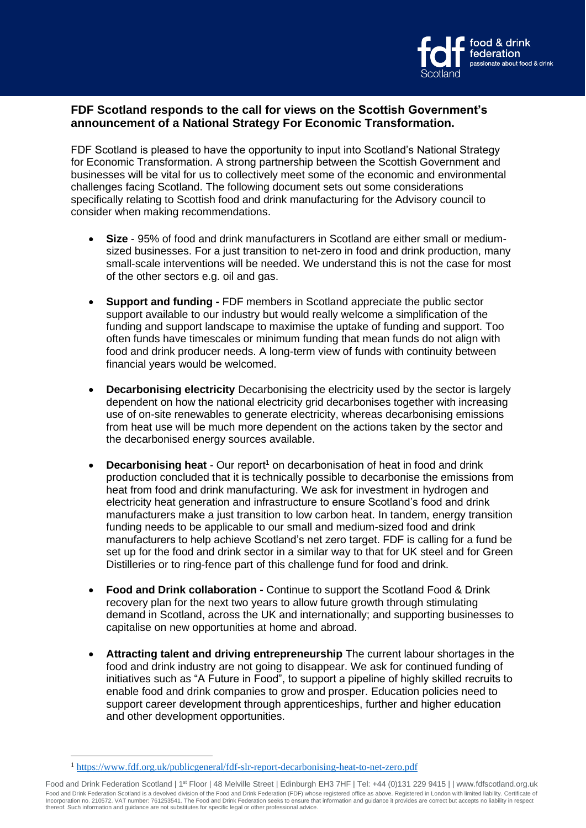

## **FDF Scotland responds to the call for views on the Scottish Government's announcement of a National Strategy For Economic Transformation.**

FDF Scotland is pleased to have the opportunity to input into Scotland's National Strategy for Economic Transformation. A strong partnership between the Scottish Government and businesses will be vital for us to collectively meet some of the economic and environmental challenges facing Scotland. The following document sets out some considerations specifically relating to Scottish food and drink manufacturing for the Advisory council to consider when making recommendations.

- **Size**  95% of food and drink manufacturers in Scotland are either small or mediumsized businesses. For a just transition to net-zero in food and drink production, many small-scale interventions will be needed. We understand this is not the case for most of the other sectors e.g. oil and gas.
- **Support and funding -** FDF members in Scotland appreciate the public sector support available to our industry but would really welcome a simplification of the funding and support landscape to maximise the uptake of funding and support. Too often funds have timescales or minimum funding that mean funds do not align with food and drink producer needs. A long-term view of funds with continuity between financial years would be welcomed.
- **Decarbonising electricity** Decarbonising the electricity used by the sector is largely dependent on how the national electricity grid decarbonises together with increasing use of on-site renewables to generate electricity, whereas decarbonising emissions from heat use will be much more dependent on the actions taken by the sector and the decarbonised energy sources available.
- **Decarbonising heat** Our report<sup>1</sup> on decarbonisation of heat in food and drink production concluded that it is technically possible to decarbonise the emissions from heat from food and drink manufacturing. We ask for investment in hydrogen and electricity heat generation and infrastructure to ensure Scotland's food and drink manufacturers make a just transition to low carbon heat. In tandem, energy transition funding needs to be applicable to our small and medium-sized food and drink manufacturers to help achieve Scotland's net zero target. FDF is calling for a fund be set up for the food and drink sector in a similar way to that for UK steel and for Green Distilleries or to ring-fence part of this challenge fund for food and drink.
- **Food and Drink collaboration -** Continue to support the Scotland Food & Drink recovery plan for the next two years to allow future growth through stimulating demand in Scotland, across the UK and internationally; and supporting businesses to capitalise on new opportunities at home and abroad.
- **Attracting talent and driving entrepreneurship** The current labour shortages in the food and drink industry are not going to disappear. We ask for continued funding of initiatives such as "A Future in Food", to support a pipeline of highly skilled recruits to enable food and drink companies to grow and prosper. Education policies need to support career development through apprenticeships, further and higher education and other development opportunities.

Food and Drink Federation Scotland | 1<sup>st</sup> Floor | 48 Melville Street | Edinburgh EH3 7HF | Tel: +44 (0)131 229 9415 | | www.fdfscotland.org.uk Food and Drink Federation Scotland is a devolved division of the Food and Drink Federation (FDF) whose registered office as above. Registered in London with limited liability. Certificate of Incorporation no. 210572. VAT number: 761253541. The Food and Drink Federation seeks to ensure that information and guidance it provides are correct but accepts no liability in respect thereof. Such information and guidance are not substitutes for specific legal or other professional advice.

<sup>1</sup> <https://www.fdf.org.uk/publicgeneral/fdf-slr-report-decarbonising-heat-to-net-zero.pdf>